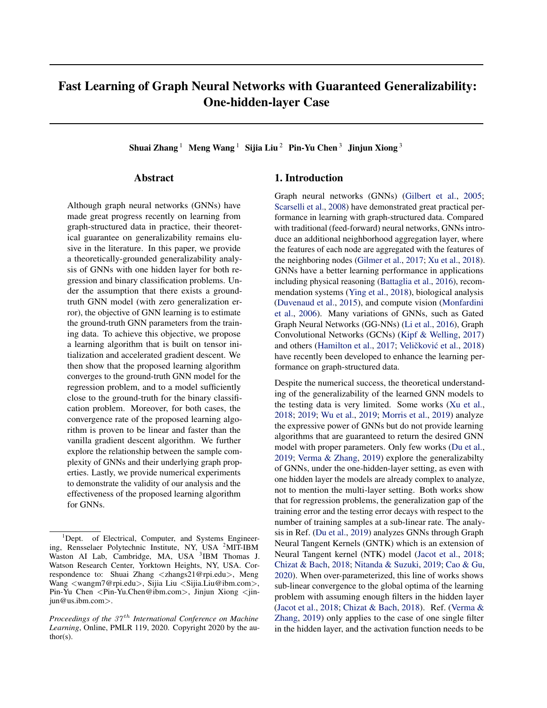# Fast Learning of Graph Neural Networks with Guaranteed Generalizability: One-hidden-layer Case

Shuai Zhang<sup>1</sup> Meng Wang<sup>1</sup> Sijia Liu<sup>2</sup> Pin-Yu Chen<sup>3</sup> Jinjun Xiong<sup>3</sup>

### Abstract

Although graph neural networks (GNNs) have made great progress recently on learning from graph-structured data in practice, their theoretical guarantee on generalizability remains elusive in the literature. In this paper, we provide a theoretically-grounded generalizability analysis of GNNs with one hidden layer for both regression and binary classification problems. Under the assumption that there exists a groundtruth GNN model (with zero generalization error), the objective of GNN learning is to estimate the ground-truth GNN parameters from the training data. To achieve this objective, we propose a learning algorithm that is built on tensor initialization and accelerated gradient descent. We then show that the proposed learning algorithm converges to the ground-truth GNN model for the regression problem, and to a model sufficiently close to the ground-truth for the binary classification problem. Moreover, for both cases, the convergence rate of the proposed learning algorithm is proven to be linear and faster than the vanilla gradient descent algorithm. We further explore the relationship between the sample complexity of GNNs and their underlying graph properties. Lastly, we provide numerical experiments to demonstrate the validity of our analysis and the effectiveness of the proposed learning algorithm for GNNs.

# 1. Introduction

Graph neural networks (GNNs) (Gilbert et al., 2005; Scarselli et al., 2008) have demonstrated great practical performance in learning with graph-structured data. Compared with traditional (feed-forward) neural networks, GNNs introduce an additional neighborhood aggregation layer, where the features of each node are aggregated with the features of the neighboring nodes (Gilmer et al., 2017; Xu et al., 2018). GNNs have a better learning performance in applications including physical reasoning (Battaglia et al., 2016), recommendation systems (Ying et al., 2018), biological analysis (Duvenaud et al., 2015), and compute vision (Monfardini et al., 2006). Many variations of GNNs, such as Gated Graph Neural Networks (GG-NNs) (Li et al., 2016), Graph Convolutional Networks (GCNs) (Kipf & Welling, 2017) and others (Hamilton et al., 2017; Veličković et al., 2018) have recently been developed to enhance the learning performance on graph-structured data.

Despite the numerical success, the theoretical understanding of the generalizability of the learned GNN models to the testing data is very limited. Some works (Xu et al., 2018; 2019; Wu et al., 2019; Morris et al., 2019) analyze the expressive power of GNNs but do not provide learning algorithms that are guaranteed to return the desired GNN model with proper parameters. Only few works (Du et al., 2019; Verma & Zhang, 2019) explore the generalizabilty of GNNs, under the one-hidden-layer setting, as even with one hidden layer the models are already complex to analyze, not to mention the multi-layer setting. Both works show that for regression problems, the generalization gap of the training error and the testing error decays with respect to the number of training samples at a sub-linear rate. The analysis in Ref. (Du et al., 2019) analyzes GNNs through Graph Neural Tangent Kernels (GNTK) which is an extension of Neural Tangent kernel (NTK) model (Jacot et al., 2018; Chizat & Bach, 2018; Nitanda & Suzuki, 2019; Cao & Gu, 2020). When over-parameterized, this line of works shows sub-linear convergence to the global optima of the learning problem with assuming enough filters in the hidden layer (Jacot et al., 2018; Chizat & Bach, 2018). Ref. (Verma & Zhang, 2019) only applies to the case of one single filter in the hidden layer, and the activation function needs to be

 ${}^{1}$ Dept. of Electrical, Computer, and Systems Engineering, Rensselaer Polytechnic Institute, NY, USA <sup>2</sup>MIT-IBM Waston AI Lab, Cambridge, MA, USA <sup>3</sup>IBM Thomas J. Watson Research Center, Yorktown Heights, NY, USA. Correspondence to: Shuai Zhang <zhangs21@rpi.edu>, Meng Wang <wangm7@rpi.edu>, Sijia Liu <Sijia.Liu@ibm.com>, Pin-Yu Chen <Pin-Yu.Chen@ibm.com>, Jinjun Xiong <jinjun@us.ibm.com>.

*Proceedings of the 37<sup>th</sup> International Conference on Machine Learning*, Online, PMLR 119, 2020. Copyright 2020 by the author(s).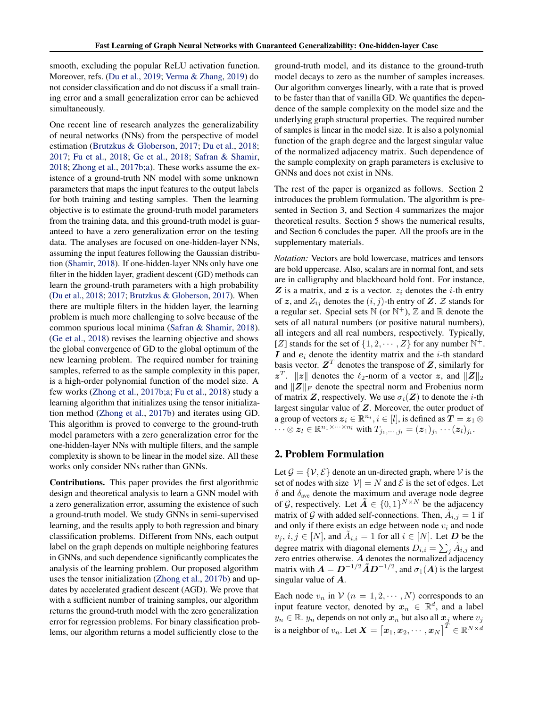smooth, excluding the popular ReLU activation function. Moreover, refs. (Du et al., 2019; Verma & Zhang, 2019) do not consider classification and do not discuss if a small training error and a small generalization error can be achieved simultaneously.

One recent line of research analyzes the generalizability of neural networks (NNs) from the perspective of model estimation (Brutzkus & Globerson, 2017; Du et al., 2018; 2017; Fu et al., 2018; Ge et al., 2018; Safran & Shamir, 2018; Zhong et al., 2017b;a). These works assume the existence of a ground-truth NN model with some unknown parameters that maps the input features to the output labels for both training and testing samples. Then the learning objective is to estimate the ground-truth model parameters from the training data, and this ground-truth model is guaranteed to have a zero generalization error on the testing data. The analyses are focused on one-hidden-layer NNs, assuming the input features following the Gaussian distribution (Shamir, 2018). If one-hidden-layer NNs only have one filter in the hidden layer, gradient descent (GD) methods can learn the ground-truth parameters with a high probability (Du et al., 2018; 2017; Brutzkus & Globerson, 2017). When there are multiple filters in the hidden layer, the learning problem is much more challenging to solve because of the common spurious local minima (Safran & Shamir, 2018). (Ge et al., 2018) revises the learning objective and shows the global convergence of GD to the global optimum of the new learning problem. The required number for training samples, referred to as the sample complexity in this paper, is a high-order polynomial function of the model size. A few works (Zhong et al., 2017b;a; Fu et al., 2018) study a learning algorithm that initializes using the tensor initialization method (Zhong et al., 2017b) and iterates using GD. This algorithm is proved to converge to the ground-truth model parameters with a zero generalization error for the one-hidden-layer NNs with multiple filters, and the sample complexity is shown to be linear in the model size. All these works only consider NNs rather than GNNs.

Contributions. This paper provides the first algorithmic design and theoretical analysis to learn a GNN model with a zero generalization error, assuming the existence of such a ground-truth model. We study GNNs in semi-supervised learning, and the results apply to both regression and binary classification problems. Different from NNs, each output label on the graph depends on multiple neighboring features in GNNs, and such dependence significantly complicates the analysis of the learning problem. Our proposed algorithm uses the tensor initialization (Zhong et al., 2017b) and updates by accelerated gradient descent (AGD). We prove that with a sufficient number of training samples, our algorithm returns the ground-truth model with the zero generalization error for regression problems. For binary classification problems, our algorithm returns a model sufficiently close to the

ground-truth model, and its distance to the ground-truth model decays to zero as the number of samples increases. Our algorithm converges linearly, with a rate that is proved to be faster than that of vanilla GD. We quantifies the dependence of the sample complexity on the model size and the underlying graph structural properties. The required number of samples is linear in the model size. It is also a polynomial function of the graph degree and the largest singular value of the normalized adjacency matrix. Such dependence of the sample complexity on graph parameters is exclusive to GNNs and does not exist in NNs.

The rest of the paper is organized as follows. Section 2 introduces the problem formulation. The algorithm is presented in Section 3, and Section 4 summarizes the major theoretical results. Section 5 shows the numerical results, and Section 6 concludes the paper. All the proofs are in the supplementary materials.

*Notation:* Vectors are bold lowercase, matrices and tensors are bold uppercase. Also, scalars are in normal font, and sets are in calligraphy and blackboard bold font. For instance,  $Z$  is a matrix, and  $z$  is a vector.  $z_i$  denotes the *i*-th entry of z, and  $Z_{ij}$  denotes the  $(i, j)$ -th entry of Z. Z stands for a regular set. Special sets  $\mathbb N$  (or  $\mathbb N^+$ ),  $\mathbb Z$  and  $\mathbb R$  denote the sets of all natural numbers (or positive natural numbers), all integers and all real numbers, respectively. Typically, [Z] stands for the set of  $\{1, 2, \cdots, Z\}$  for any number  $\mathbb{N}^+$ . I and  $e_i$  denote the identity matrix and the *i*-th standard basis vector.  $\mathbf{Z}^T$  denotes the transpose of  $\mathbf{Z}$ , similarly for  $z^T$ .  $||z||$  denotes the  $\ell_2$ -norm of a vector z, and  $||Z||_2$ and  $\|Z\|_F$  denote the spectral norm and Frobenius norm of matrix Z, respectively. We use  $\sigma_i(Z)$  to denote the *i*-th largest singular value of Z. Moreover, the outer product of a group of vectors  $z_i \in \mathbb{R}^{n_i}$ ,  $i \in [l]$ , is defined as  $\mathbf{T} = z_1 \otimes \mathbf{Z}$  $\cdots \otimes z_l \in \mathbb{R}^{n_1 \times \cdots \times n_l}$  with  $T_{j_1,\cdots,j_l} = (z_1)_{j_1} \cdots (z_l)_{j_l}.$ 

#### 2. Problem Formulation

Let  $\mathcal{G} = \{V, \mathcal{E}\}\$  denote an un-directed graph, where V is the set of nodes with size  $|V| = N$  and  $\mathcal E$  is the set of edges. Let  $\delta$  and  $\delta$ <sub>ave</sub> denote the maximum and average node degree of G, respectively. Let  $\tilde{A} \in \{0,1\}^{N \times N}$  be the adjacency matrix of G with added self-connections. Then,  $\tilde{A}_{i,j} = 1$  if and only if there exists an edge between node  $v_i$  and node  $v_j, i, j \in [N]$ , and  $\tilde{A}_{i,i} = 1$  for all  $i \in [N]$ . Let  $D$  be the degree matrix with diagonal elements  $D_{i,i} = \sum_j \tilde{A}_{i,j}$  and zero entries otherwise. A denotes the normalized adjacency matrix with  $A = D^{-1/2} \tilde{A} D^{-1/2}$ , and  $\sigma_1(A)$  is the largest singular value of A.

Each node  $v_n$  in  $V$   $(n = 1, 2, \cdots, N)$  corresponds to an input feature vector, denoted by  $x_n \in \mathbb{R}^d$ , and a label  $y_n \in \mathbb{R}$ .  $y_n$  depends on not only  $x_n$  but also all  $x_j$  where  $v_j$ is a neighbor of  $v_n.$  Let  $\bm{X} = \begin{bmatrix} \bm{x}_1, \bm{x}_2, \cdots, \bm{x}_N \end{bmatrix}^T \in \mathbb{R}^{N \times d}$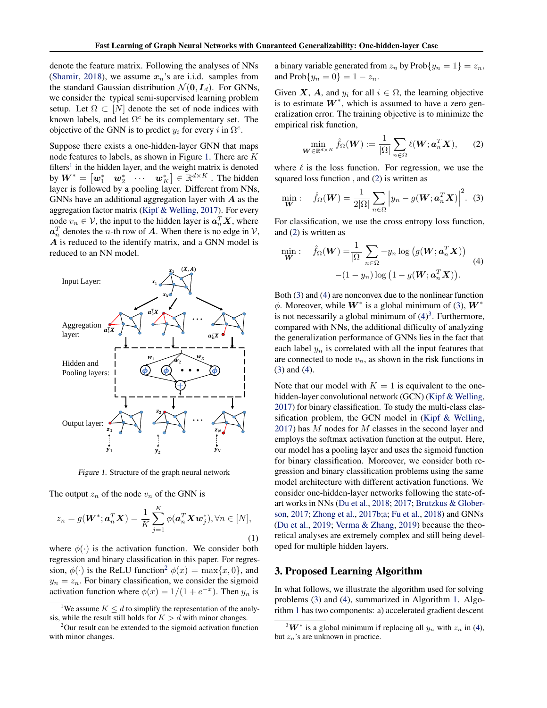denote the feature matrix. Following the analyses of NNs (Shamir, 2018), we assume  $x_n$ 's are i.i.d. samples from the standard Gaussian distribution  $\mathcal{N}(\mathbf{0}, \mathbf{I}_d)$ . For GNNs, we consider the typical semi-supervised learning problem setup. Let  $\Omega \subset [N]$  denote the set of node indices with known labels, and let  $\Omega^c$  be its complementary set. The objective of the GNN is to predict  $y_i$  for every i in  $\Omega^c$ .

Suppose there exists a one-hidden-layer GNN that maps node features to labels, as shown in Figure 1. There are K filters<sup>1</sup> in the hidden layer, and the weight matrix is denoted by  $\boldsymbol{W}^{*}=\begin{bmatrix} \boldsymbol{w}_{1}^{*} & \boldsymbol{w}_{2}^{*} & \cdots & \boldsymbol{w}_{K}^{*} \end{bmatrix} \in \mathbb{R}^{d \times K}$  . The hidden layer is followed by a pooling layer. Different from NNs, GNNs have an additional aggregation layer with  $\boldsymbol{A}$  as the aggregation factor matrix (Kipf & Welling, 2017). For every node  $v_n \in \mathcal{V}$ , the input to the hidden layer is  $a_n^T X$ , where  $a_n^T$  denotes the *n*-th row of **A**. When there is no edge in  $V$ , A is reduced to the identify matrix, and a GNN model is reduced to an NN model.



Figure 1. Structure of the graph neural network

The output  $z_n$  of the node  $v_n$  of the GNN is

$$
z_n = g(\boldsymbol{W}^*; \boldsymbol{a}_n^T \boldsymbol{X}) = \frac{1}{K} \sum_{j=1}^K \phi(\boldsymbol{a}_n^T \boldsymbol{X} \boldsymbol{w}_j^*), \forall n \in [N],
$$
\n(1)

where  $\phi(\cdot)$  is the activation function. We consider both regression and binary classification in this paper. For regression,  $\phi(\cdot)$  is the ReLU function<sup>2</sup>  $\phi(x) = \max\{x, 0\}$ , and  $y_n = z_n$ . For binary classification, we consider the sigmoid activation function where  $\phi(x) = 1/(1 + e^{-x})$ . Then  $y_n$  is

a binary variable generated from  $z_n$  by  $Prob\{y_n = 1\} = z_n$ , and  $\text{Prob}{y_n = 0} = 1 - z_n$ .

Given X, A, and  $y_i$  for all  $i \in \Omega$ , the learning objective is to estimate  $W^*$ , which is assumed to have a zero generalization error. The training objective is to minimize the empirical risk function,

$$
\min_{\mathbf{W}\in\mathbb{R}^{d\times K}}\hat{f}_{\Omega}(\mathbf{W}) := \frac{1}{|\Omega|}\sum_{n\in\Omega}\ell(\mathbf{W};\boldsymbol{a}_n^T\mathbf{X}),\qquad(2)
$$

where  $\ell$  is the loss function. For regression, we use the squared loss function , and (2) is written as

$$
\min_{\mathbf{W}}: \quad \hat{f}_{\Omega}(\mathbf{W}) = \frac{1}{2|\Omega|} \sum_{n \in \Omega} \left| y_n - g(\mathbf{W}; \mathbf{a}_n^T \mathbf{X}) \right|^2. \tag{3}
$$

For classification, we use the cross entropy loss function, and (2) is written as

$$
\min_{\mathbf{W}}: \quad \hat{f}_{\Omega}(\mathbf{W}) = \frac{1}{|\Omega|} \sum_{n \in \Omega} -y_n \log (g(\mathbf{W}; \mathbf{a}_n^T \mathbf{X})) \tag{4}
$$

$$
-(1 - y_n) \log (1 - g(\mathbf{W}; \mathbf{a}_n^T \mathbf{X})).
$$

Both (3) and (4) are nonconvex due to the nonlinear function  $\phi$ . Moreover, while  $W^*$  is a global minimum of (3),  $W^*$ is not necessarily a global minimum of  $(4)^3$ . Furthermore, compared with NNs, the additional difficulty of analyzing the generalization performance of GNNs lies in the fact that each label  $y_n$  is correlated with all the input features that are connected to node  $v_n$ , as shown in the risk functions in (3) and (4).

Note that our model with  $K = 1$  is equivalent to the onehidden-layer convolutional network (GCN) (Kipf & Welling, 2017) for binary classification. To study the multi-class classification problem, the GCN model in (Kipf & Welling, 2017) has M nodes for M classes in the second layer and employs the softmax activation function at the output. Here, our model has a pooling layer and uses the sigmoid function for binary classification. Moreover, we consider both regression and binary classification problems using the same model architecture with different activation functions. We consider one-hidden-layer networks following the state-ofart works in NNs (Du et al., 2018; 2017; Brutzkus & Globerson, 2017; Zhong et al., 2017b;a; Fu et al., 2018) and GNNs (Du et al., 2019; Verma & Zhang, 2019) because the theoretical analyses are extremely complex and still being developed for multiple hidden layers.

# 3. Proposed Learning Algorithm

In what follows, we illustrate the algorithm used for solving problems (3) and (4), summarized in Algorithm 1. Algorithm 1 has two components: a) accelerated gradient descent

<sup>&</sup>lt;sup>1</sup>We assume  $K \le d$  to simplify the representation of the analysis, while the result still holds for  $K > d$  with minor changes.

<sup>&</sup>lt;sup>2</sup>Our result can be extended to the sigmoid activation function with minor changes.

 $3W^*$  is a global minimum if replacing all  $y_n$  with  $z_n$  in (4), but  $z_n$ 's are unknown in practice.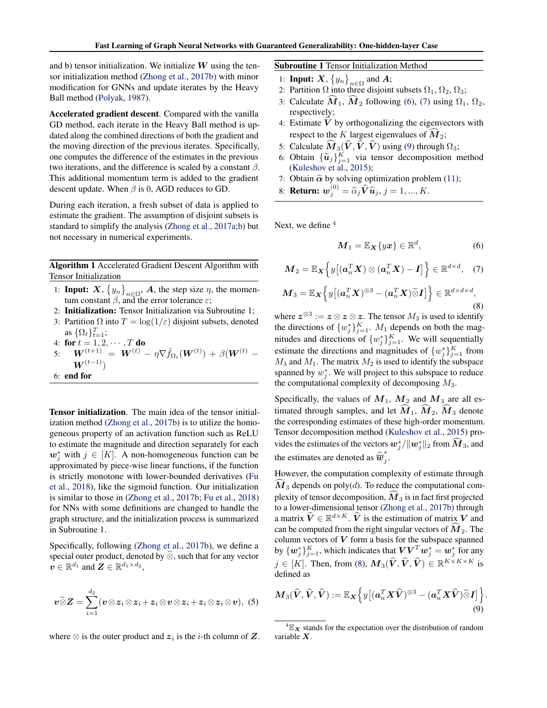and b) tensor initialization. We initialize  $W$  using the tensor initialization method (Zhong et al., 2017b) with minor modification for GNNs and update iterates by the Heavy Ball method (Polyak, 1987).

Accelerated gradient descent. Compared with the vanilla GD method, each iterate in the Heavy Ball method is updated along the combined directions of both the gradient and the moving direction of the previous iterates. Specifically, one computes the difference of the estimates in the previous two iterations, and the difference is scaled by a constant  $\beta$ . This additional momentum term is added to the gradient descent update. When  $\beta$  is 0, AGD reduces to GD.

During each iteration, a fresh subset of data is applied to estimate the gradient. The assumption of disjoint subsets is standard to simplify the analysis (Zhong et al., 2017a;b) but not necessary in numerical experiments.

Algorithm 1 Accelerated Gradient Descent Algorithm with Tensor Initialization

- 1: **Input:**  $X$ ,  $\{y_n\}_{n\in\Omega}$ ,  $A$ , the step size  $\eta$ , the momentum constant  $\beta$ , and the error tolerance  $\varepsilon$ ;
- 2: Initialization: Tensor Initialization via Subroutine 1;
- 3: Partition  $\Omega$  into  $T = \log(1/\varepsilon)$  disjoint subsets, denoted as  $\{\Omega_t\}_{t=1}^T$ ;

4: **for** 
$$
t = 1, 2, \cdots, T
$$
 **do**

 $5: \quad \bm{W}^{(t+1)} \; = \; \bm{W}^{(t)} \, - \, \eta \nabla \hat{f}_{\Omega_t}(\bm{W}^{(t)}) \, + \, \beta(\bm{W}^{(t)} \; - \; \eta \nabla \hat{f}_{\Omega_t}(\bm{W}^{(t)}) \; - \, \eta \nabla \hat{f}_{\Omega_t}(\bm{W}^{(t)}) \; .$  $\boldsymbol{W}^{(t-1)})$ 

6: end for

Tensor initialization. The main idea of the tensor initialization method (Zhong et al., 2017b) is to utilize the homogeneous property of an activation function such as ReLU to estimate the magnitude and direction separately for each  $w_j^*$  with  $j \in [K]$ . A non-homogeneous function can be approximated by piece-wise linear functions, if the function is strictly monotone with lower-bounded derivatives (Fu et al., 2018), like the sigmoid function. Our initialization is similar to those in (Zhong et al., 2017b; Fu et al., 2018) for NNs with some definitions are changed to handle the graph structure, and the initialization process is summarized in Subroutine 1.

Specifically, following (Zhong et al., 2017b), we define a special outer product, denoted by  $\tilde{\otimes}$ , such that for any vector  $v \in \mathbb{R}^{d_1}$  and  $\boldsymbol{Z} \in \mathbb{R}^{d_1 \times d_2}$ ,

$$
\boldsymbol{v}\widetilde{\otimes}\boldsymbol{Z}=\sum_{i=1}^{d_2}(\boldsymbol{v}\otimes\boldsymbol{z}_i\otimes\boldsymbol{z}_i+\boldsymbol{z}_i\otimes\boldsymbol{v}\otimes\boldsymbol{z}_i+\boldsymbol{z}_i\otimes\boldsymbol{z}_i\otimes\boldsymbol{v}),\,\,(5)
$$

where  $\otimes$  is the outer product and  $z_i$  is the *i*-th column of  $\mathbf{Z}$ .

Subroutine 1 Tensor Initialization Method

- 1: **Input:**  $X$ ,  $\{y_n\}_{n\in\Omega}$  and  $A$ ;
- 2: Partition  $\Omega$  into three disjoint subsets  $\Omega_1$ ,  $\Omega_2$ ,  $\Omega_3$ ;
- 3: Calculate  $\hat{M}_1$ ,  $\hat{M}_2$  following (6), (7) using  $\Omega_1$ ,  $\Omega_2$ , respectively;
- 4: Estimate  $V$  by orthogonalizing the eigenvectors with respect to the K largest eigenvalues of  $\overline{M}_2$ ;
- 5: Calculate  $\widehat{\mathbf{M}}_3(\widehat{\mathbf{V}}, \widehat{\mathbf{V}},\widehat{\mathbf{V}})$  using (9) through  $\Omega_3$ ;
- 6: Obtain  $\{\hat{u}_j\}_{j=1}^K$  via tensor decomposition method  $(K_{\text{ulgebo}})$  at  $2015$ . (Kuleshov et al., 2015);
- 7: Obtain  $\hat{\alpha}$  by solving optimization problem (11);

8: **Return:**  $w_j^{(0)} = \hat{\alpha}_j \hat{V} \hat{u}_j, j = 1, ..., K$ .

Next, we define  $4$ 

$$
\boldsymbol{M}_1 = \mathbb{E}_{\boldsymbol{X}} \{ y\boldsymbol{x} \} \in \mathbb{R}^d, \tag{6}
$$

$$
\boldsymbol{M}_2 = \mathbb{E}_{\boldsymbol{X}} \left\{ y \big[ (\boldsymbol{a}_n^T \boldsymbol{X}) \otimes (\boldsymbol{a}_n^T \boldsymbol{X}) - \boldsymbol{I} \big] \right\} \in \mathbb{R}^{d \times d}, \quad (7)
$$

$$
\boldsymbol{M}_3 = \mathbb{E}_{\boldsymbol{X}} \Big\{ y \big[ (\boldsymbol{a}_n^T \boldsymbol{X})^{\otimes 3} - (\boldsymbol{a}_n^T \boldsymbol{X}) \widetilde{\otimes} \boldsymbol{I} \big] \Big\} \in \mathbb{R}^{d \times d \times d}, \tag{8}
$$

where  $z^{\otimes 3} := z \otimes z \otimes z$ . The tensor  $M_3$  is used to identify the directions of  $\{w_j^*\}_{j=1}^K$ .  $M_1$  depends on both the magnitudes and directions of  $\{w_j^*\}_{j=1}^K$ . We will sequentially estimate the directions and magnitudes of  $\{w_j^*\}_{j=1}^K$  from  $M_3$  and  $M_1$ . The matrix  $M_2$  is used to identify the subspace spanned by  $w_j^*$ . We will project to this subspace to reduce the computational complexity of decomposing  $M_3$ .

Specifically, the values of  $M_1$ ,  $M_2$  and  $M_3$  are all estimated through samples, and let  $M_1$ ,  $M_2$ ,  $M_3$  denote the corresponding estimates of these high-order momentum. Tensor decomposition method (Kuleshov et al., 2015) provides the estimates of the vectors  $w_j^* / \|w_j^*\|_2$  from  $\widehat{M}_3$ , and the estimates are denoted as  $\widehat{\overline{w}}_j^*$ j .

However, the computation complexity of estimate through  $\dot{M}_3$  depends on poly(*d*). To reduce the computational complexity of tensor decomposition,  $\dot{M}_3$  is in fact first projected to a lower-dimensional tensor (Zhong et al., 2017b) through a matrix  $\hat{V} \in \mathbb{R}^{d \times K}$ .  $\hat{V}$  is the estimation of matrix V and can be computed from the right singular vectors of  $M_2$ . The column vectors of  $V$  form a basis for the subspace spanned by  $\{w_j^*\}_{j=1}^K$ , which indicates that  $\boldsymbol{V}\boldsymbol{V}^T\boldsymbol{w}_j^* = \boldsymbol{w}_j^*$  for any  $j \in [K]$ . Then, from (8),  $\mathbf{M}_{3}(\hat{V}, \hat{V}, \hat{V}) \in \mathbb{R}^{K \times K \times K}$  is defined as

$$
\boldsymbol{M}_{3}(\widehat{\boldsymbol{V}},\widehat{\boldsymbol{V}},\widehat{\boldsymbol{V}}):=\mathbb{E}_{\boldsymbol{X}}\Big\{y\big[(\boldsymbol{a}_{n}^{T}\boldsymbol{X}\widehat{\boldsymbol{V}})^{\otimes3}-(\boldsymbol{a}_{n}^{T}\boldsymbol{X}\widehat{\boldsymbol{V}})\widetilde{\otimes}\boldsymbol{I}\big]\Big\}.\tag{9}
$$

 ${}^{4}E_{X}$  stands for the expectation over the distribution of random variable X.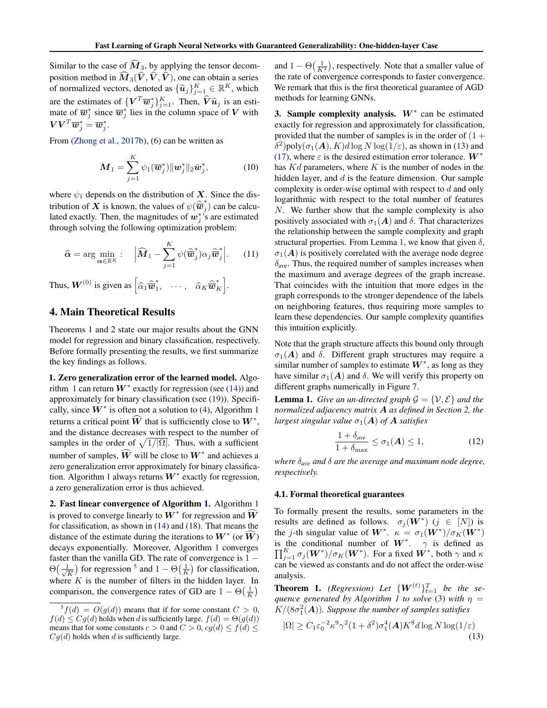Similar to the case of  $\widehat{M}_3$ , by applying the tensor decomposition method in  $\widehat{M}_3(\widehat{V}, \widehat{V}, \widehat{V})$ , one can obtain a series of normalized vectors, denoted as  $\{\hat{u}_j\}_{j=1}^K \in \mathbb{R}^K$ , which are the estimates of  $\{V^T \overline{w}_j^*\}_{j=1}^K$ . Then,  $\hat{V}\hat{u}_j$  is an estimate of  $\overline{w}_j^*$  since  $\overline{w}_j^*$  lies in the column space of  $V$  with mate of  $\overline{w}_j^*$  since  $\overline{w}_j^*$  lies in the column space of V with  $\boldsymbol{V}\boldsymbol{V}^T\overline{\boldsymbol{w}}_j^*=\overline{\boldsymbol{w}}_j^*.$ 

From (Zhong et al., 2017b), (6) can be written as

$$
\boldsymbol{M}_1 = \sum_{j=1}^K \psi_1(\overline{\boldsymbol{w}}_j^*) ||\boldsymbol{w}_j^* ||_2 \overline{\boldsymbol{w}}_j^*,
$$
 (10)

where  $\psi_1$  depends on the distribution of X. Since the distribution of X is known, the values of  $\psi(\hat{\vec{w}}_j^*)$  $j$ ) can be calculated exactly. Then, the magnitudes of  $w_j^*$ 's are estimated through solving the following optimization problem:

$$
\widehat{\boldsymbol{\alpha}} = \arg \min_{\boldsymbol{\alpha} \in \mathbb{R}^K} : \quad \left| \widehat{\boldsymbol{M}}_1 - \sum_{j=1}^K \psi(\widehat{\overline{\boldsymbol{w}}}_j^*) \alpha_j \widehat{\overline{\boldsymbol{w}}}_j^* \right|.
$$
 (11)

Thus,  $\boldsymbol{W}^{(0)}$  is given as  $\left[\widehat{\alpha}_1\widehat{\overline{\boldsymbol{w}}}_1^*\right]$  $\hat{a}_K^*$   $\cdots$ ,  $\hat{a}_K \widehat{\overline{\bm{w}}}^*_k$  $\begin{bmatrix} * \ K \end{bmatrix}$ .

# 4. Main Theoretical Results

Theorems 1 and 2 state our major results about the GNN model for regression and binary classification, respectively. Before formally presenting the results, we first summarize the key findings as follows.

1. Zero generalization error of the learned model. Algorithm 1 can return  $W^*$  exactly for regression (see (14)) and approximately for binary classification (see (19)). Specifically, since  $\vec{W}^*$  is often not a solution to (4), Algorithm 1 returns a critical point  $\widehat{W}$  that is sufficiently close to  $W^*$ , and the distance decreases with respect to the number of samples in the order of  $\sqrt{1/|\Omega|}$ . Thus, with a sufficient number of samples,  $\widehat{W}$  will be close to  $W^*$  and achieves a zero generalization error approximately for binary classification. Algorithm 1 always returns  $W^*$  exactly for regression, a zero generalization error is thus achieved.

2. Fast linear convergence of Algorithm 1. Algorithm 1 is proved to converge linearly to  $W^*$  for regression and  $\widehat{W}$ for classification, as shown in (14) and (18). That means the distance of the estimate during the iterations to  $W^*$  (or  $\widehat{W}$ ) decays exponentially. Moreover, Algorithm 1 converges faster than the vanilla GD. The rate of convergence is  $1 \Theta\left(\frac{1}{\sqrt{2}}\right)$  $\frac{1}{K}$ ) for regression <sup>5</sup> and  $1 - \Theta\left(\frac{1}{K}\right)$  for classification, where  $K$  is the number of filters in the hidden layer. In comparison, the convergence rates of GD are  $1 - \Theta\left(\frac{1}{K}\right)$ 

and  $1 - \Theta\left(\frac{1}{K^2}\right)$ , respectively. Note that a smaller value of the rate of convergence corresponds to faster convergence. We remark that this is the first theoretical guarantee of AGD methods for learning GNNs.

3. Sample complexity analysis.  $W^*$  can be estimated exactly for regression and approximately for classification, provided that the number of samples is in the order of  $(1 +$  $\delta^2$ )poly $(\sigma_1(A), K)d \log N \log(1/\varepsilon)$ , as shown in (13) and (17), where  $\varepsilon$  is the desired estimation error tolerance.  $W^*$ has  $Kd$  parameters, where K is the number of nodes in the hidden layer, and d is the feature dimension. Our sample complexity is order-wise optimal with respect to d and only logarithmic with respect to the total number of features N. We further show that the sample complexity is also positively associated with  $\sigma_1(A)$  and  $\delta$ . That characterizes the relationship between the sample complexity and graph structural properties. From Lemma 1, we know that given  $\delta$ ,  $\sigma_1(A)$  is positively correlated with the average node degree  $\delta_{\text{ave}}$ . Thus, the required number of samples increases when the maximum and average degrees of the graph increase. That coincides with the intuition that more edges in the graph corresponds to the stronger dependence of the labels on neighboring features, thus requiring more samples to learn these dependencies. Our sample complexity quantifies this intuition explicitly.

Note that the graph structure affects this bound only through  $\sigma_1(A)$  and  $\delta$ . Different graph structures may require a similar number of samples to estimate  $W^*$ , as long as they have similar  $\sigma_1(A)$  and  $\delta$ . We will verify this property on different graphs numerically in Figure 7.

**Lemma 1.** *Give an un-directed graph*  $\mathcal{G} = \{V, \mathcal{E}\}\$  *and the normalized adjacency matrix* A *as defined in Section 2, the largest singular value*  $\sigma_1(A)$  *of* **A** *satisfies* 

$$
\frac{1+\delta_{ave}}{1+\delta_{\max}} \le \sigma_1(\boldsymbol{A}) \le 1,\tag{12}
$$

*where* δ*ave and* δ *are the average and maximum node degree, respectively.*

#### 4.1. Formal theoretical guarantees

To formally present the results, some parameters in the results are defined as follows.  $\sigma_j(\mathbf{W}^*)$   $(j \in [N])$  is the *j*-th singular value of  $W^*$ .  $\kappa = \sigma_1(W^*)/\sigma_K(W^*)$ is the conditional number of  $W^*$ .  $\gamma$  is defined as  $\prod_{i=1}^K \sigma_i(W^*)/\sigma_K(W^*)$ . For a fixed  $W^*$ , both  $\gamma$  and  $\kappa$  $_{j=1}^K$   $\sigma_j(\boldsymbol{W}^*)/\sigma_K(\boldsymbol{W}^*)$ . For a fixed  $\boldsymbol{W}^*$ , both  $\gamma$  and  $\kappa$ can be viewed as constants and do not affect the order-wise analysis.

**Theorem 1.** *(Regression)* Let  $\{W^{(t)}\}_{t=1}^T$  be the se*quence generated by Algorithm 1 to solve* (3) *with*  $\eta$  =  $K/(8\sigma_1^2({\boldsymbol A})).$  Suppose the number of samples satisfies

$$
|\Omega| \ge C_1 \varepsilon_0^{-2} \kappa^9 \gamma^2 (1 + \delta^2) \sigma_1^4(A) K^8 d \log N \log(1/\varepsilon)
$$
\n(13)

 ${}^5f(d) = O(g(d))$  means that if for some constant  $C > 0$ ,  $f(d) \leq Cg(d)$  holds when d is sufficiently large.  $f(d) = \Theta(g(d))$ means that for some constants  $c > 0$  and  $C > 0$ ,  $cg(d) \le f(d) \le$  $Cq(d)$  holds when d is sufficiently large.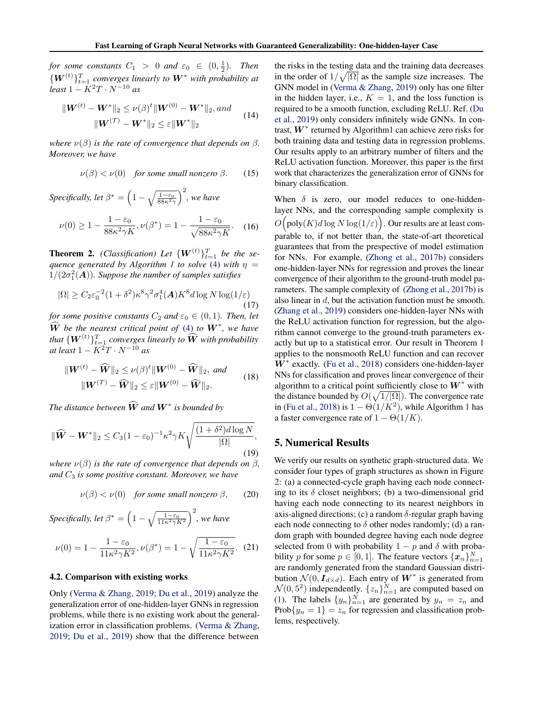*for some constants*  $C_1 > 0$  *and*  $\varepsilon_0 \in (0, \frac{1}{2})$ *. Then*  $\{W^{(t)}\}_{t=1}^{T}$  converges linearly to  $W^*$  with probability at  $\int$ *least* 1 –  $K^2T \cdot N^{-10}$  *as* 

$$
\|W^{(t)} - W^*\|_2 \le \nu(\beta)^t \|W^{(0)} - W^*\|_2, and
$$
  

$$
\|W^{(T)} - W^*\|_2 \le \varepsilon \|W^*\|_2
$$
 (14)

*where*  $\nu(\beta)$  *is the rate of convergence that depends on*  $\beta$ *. Moreover, we have*

$$
\nu(\beta) < \nu(0) \quad \text{for some small nonzero } \beta. \tag{15}
$$

*Specifically, let*  $\beta^* = \left(1 - \sqrt{\frac{1-\varepsilon_0}{88\kappa^2\gamma}}\right)^2$ *, we have* 

$$
\nu(0) \ge 1 - \frac{1 - \varepsilon_0}{88\kappa^2 \gamma K}, \nu(\beta^*) = 1 - \frac{1 - \varepsilon_0}{\sqrt{88\kappa^2 \gamma K}}.
$$
 (16)

**Theorem 2.** *(Classification)* Let  $\{W^{(t)}\}_{t=1}^T$  be the se*quence generated by Algorithm 1 to solve* (4) *with*  $\eta$  =  $1/(2\sigma_1^2(\boldsymbol{A}))$ *. Suppose the number of samples satisfies* 

$$
|\Omega| \ge C_2 \varepsilon_0^{-2} (1 + \delta^2) \kappa^8 \gamma^2 \sigma_1^4(\mathbf{A}) K^8 d \log N \log(1/\varepsilon)
$$
\n(17)

*for some positive constants*  $C_2$  *and*  $\varepsilon_0 \in (0,1)$ *. Then, let*  $\widehat{W}$  *be the nearest critical point of* (4) *to*  $W^*$ , we have that  $\{ {\boldsymbol W}^{(t)} \}_{t=1}^T$  *converges linearly to*  $\widehat{{\boldsymbol W}}$  *with probability at least*  $1 - K^2 T \cdot N^{-10}$  *as* 

$$
\|\boldsymbol{W}^{(t)} - \widehat{\boldsymbol{W}}\|_{2} \leq \nu(\beta)^{t} \|\boldsymbol{W}^{(0)} - \widehat{\boldsymbol{W}}\|_{2}, \text{ and}
$$

$$
\|\boldsymbol{W}^{(T)} - \widehat{\boldsymbol{W}}\|_{2} \leq \varepsilon \|\boldsymbol{W}^{(0)} - \widehat{\boldsymbol{W}}\|_{2}.
$$
 (18)

*The distance between*  $\widehat{W}$  *and*  $W^*$  *is bounded by* 

$$
\|\widehat{\boldsymbol{W}} - \boldsymbol{W}^*\|_2 \le C_3 (1 - \varepsilon_0)^{-1} \kappa^2 \gamma K \sqrt{\frac{(1 + \delta^2) d \log N}{|\Omega|}},\tag{19}
$$

*where*  $\nu(\beta)$  *is the rate of convergence that depends on*  $\beta$ *, and* C<sup>3</sup> *is some positive constant. Moreover, we have*

$$
\nu(\beta) < \nu(0) \quad \text{for some small nonzero } \beta, \qquad (20)
$$

Specifically, let 
$$
\beta^* = \left(1 - \sqrt{\frac{1 - \varepsilon_0}{11\kappa^2 \gamma K^2}}\right)^2
$$
, we have

$$
\nu(0) = 1 - \frac{1 - \varepsilon_0}{11\kappa^2 \gamma K^2}, \nu(\beta^*) = 1 - \sqrt{\frac{1 - \varepsilon_0}{11\kappa^2 \gamma K^2}}.
$$
 (21)

#### 4.2. Comparison with existing works

Only (Verma & Zhang, 2019; Du et al., 2019) analyze the generalization error of one-hidden-layer GNNs in regression problems, while there is no existing work about the generalization error in classification problems. (Verma & Zhang, 2019; Du et al., 2019) show that the difference between

the risks in the testing data and the training data decreases in the order of  $1/\sqrt{|\Omega|}$  as the sample size increases. The GNN model in (Verma & Zhang, 2019) only has one filter in the hidden layer, i.e.,  $K = 1$ , and the loss function is required to be a smooth function, excluding ReLU. Ref. (Du et al., 2019) only considers infinitely wide GNNs. In contrast,  $W^*$  returned by Algorithm1 can achieve zero risks for both training data and testing data in regression problems. Our results apply to an arbitrary number of filters and the ReLU activation function. Moreover, this paper is the first work that characterizes the generalization error of GNNs for binary classification.

When  $\delta$  is zero, our model reduces to one-hiddenlayer NNs, and the corresponding sample complexity is  $O\big(\mathrm{poly}(K)d\log N\log(1/\varepsilon)\big).$  Our results are at least comparable to, if not better than, the state-of-art theoretical guarantees that from the prespective of model estimation for NNs. For example, (Zhong et al., 2017b) considers one-hidden-layer NNs for regression and proves the linear convergence of their algorithm to the ground-truth model parameters. The sample complexity of (Zhong et al., 2017b) is also linear in d, but the activation function must be smooth. (Zhang et al., 2019) considers one-hidden-layer NNs with the ReLU activation function for regression, but the algorithm cannot converge to the ground-truth parameters exactly but up to a statistical error. Our result in Theorem 1 applies to the nonsmooth ReLU function and can recover  $W^*$  exactly. (Fu et al., 2018) considers one-hidden-layer NNs for classification and proves linear convergence of their algorithm to a critical point sufficiently close to  $W^*$  with the distance bounded by  $O(\sqrt{1/|\Omega|})$ . The convergence rate in (Fu et al., 2018) is  $1 - \Theta(1/K^2)$ , while Algorithm 1 has a faster convergence rate of  $1 - \Theta(1/K)$ .

# 5. Numerical Results

We verify our results on synthetic graph-structured data. We consider four types of graph structures as shown in Figure 2: (a) a connected-cycle graph having each node connecting to its  $\delta$  closet neighbors; (b) a two-dimensional grid having each node connecting to its nearest neighbors in axis-aligned directions; (c) a random  $\delta$ -regular graph having each node connecting to  $\delta$  other nodes randomly; (d) a random graph with bounded degree having each node degree selected from 0 with probability  $1 - p$  and  $\delta$  with probability p for some  $p \in [0, 1]$ . The feature vectors  $\{x_n\}_{n=1}^N$ are randomly generated from the standard Gaussian distribution  $\mathcal{N}(0, I_{d \times d})$ . Each entry of  $W^*$  is generated from  $\mathcal{N}(0, 5^2)$  independently.  $\{z_n\}_{n=1}^N$  are computed based on (1). The labels  $\{y_n\}_{n=1}^N$  are generated by  $y_n = z_n$  and Prob ${y_n = 1} = z_n$  for regression and classification problems, respectively.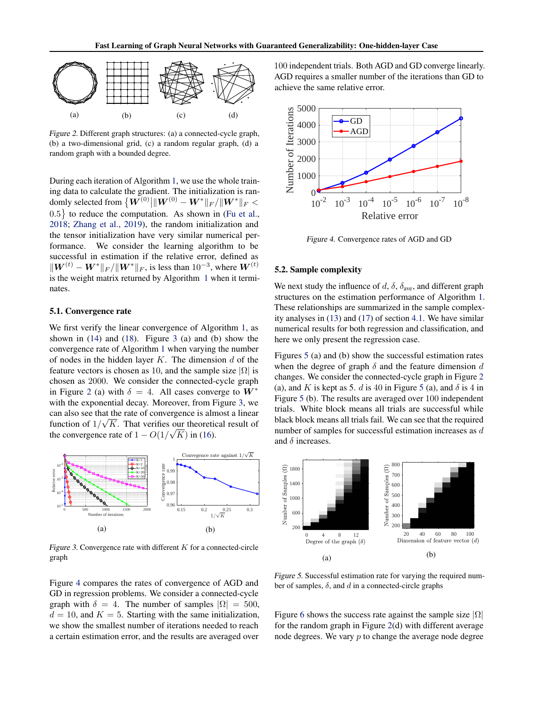

Figure 2. Different graph structures: (a) a connected-cycle graph, (b) a two-dimensional grid, (c) a random regular graph, (d) a random graph with a bounded degree.

During each iteration of Algorithm 1, we use the whole training data to calculate the gradient. The initialization is randomly selected from  $\big\{\boldsymbol{W}^{(0)}\big|\|\boldsymbol{W}^{(0)}- \boldsymbol{W}^*\|_F/\|\boldsymbol{W}^*\|_F<\big\}$  $0.5$ } to reduce the computation. As shown in (Fu et al., 2018; Zhang et al., 2019), the random initialization and the tensor initialization have very similar numerical performance. We consider the learning algorithm to be successful in estimation if the relative error, defined as  $\|W^{(t)} - W^*\|_F / \|W^*\|_F$ , is less than  $10^{-3}$ , where  $W^{(t)}$ is the weight matrix returned by Algorithm 1 when it terminates.

#### 5.1. Convergence rate

We first verify the linear convergence of Algorithm 1, as shown in  $(14)$  and  $(18)$ . Figure 3  $(a)$  and  $(b)$  show the convergence rate of Algorithm 1 when varying the number of nodes in the hidden layer  $K$ . The dimension  $d$  of the feature vectors is chosen as 10, and the sample size  $|\Omega|$  is chosen as 2000. We consider the connected-cycle graph in Figure 2 (a) with  $\delta = 4$ . All cases converge to  $W^*$ with the exponential decay. Moreover, from Figure 3, we can also see that the rate of convergence is almost a linear function of  $1/\sqrt{K}$ . That verifies our theoretical result of the convergence rate of  $1 - O(1/\sqrt{K})$  in (16).



Figure 3. Convergence rate with different  $K$  for a connected-circle graph

Figure 4 compares the rates of convergence of AGD and GD in regression problems. We consider a connected-cycle graph with  $\delta = 4$ . The number of samples  $|\Omega| = 500$ ,  $d = 10$ , and  $K = 5$ . Starting with the same initialization, we show the smallest number of iterations needed to reach a certain estimation error, and the results are averaged over 100 independent trials. Both AGD and GD converge linearly. AGD requires a smaller number of the iterations than GD to achieve the same relative error.



Figure 4. Convergence rates of AGD and GD

#### 5.2. Sample complexity

We next study the influence of d,  $\delta$ ,  $\delta_{ave}$ , and different graph structures on the estimation performance of Algorithm 1. These relationships are summarized in the sample complexity analyses in (13) and (17) of section 4.1. We have similar numerical results for both regression and classification, and here we only present the regression case.

Figures 5 (a) and (b) show the successful estimation rates when the degree of graph  $\delta$  and the feature dimension  $d$ changes. We consider the connected-cycle graph in Figure 2 (a), and K is kept as 5. d is 40 in Figure 5 (a), and  $\delta$  is 4 in Figure 5 (b). The results are averaged over 100 independent trials. White block means all trials are successful while black block means all trials fail. We can see that the required number of samples for successful estimation increases as d and  $\delta$  increases.



Figure 5. Successful estimation rate for varying the required number of samples,  $\delta$ , and  $d$  in a connected-circle graphs

Figure 6 shows the success rate against the sample size  $|\Omega|$ for the random graph in Figure 2(d) with different average node degrees. We vary  $p$  to change the average node degree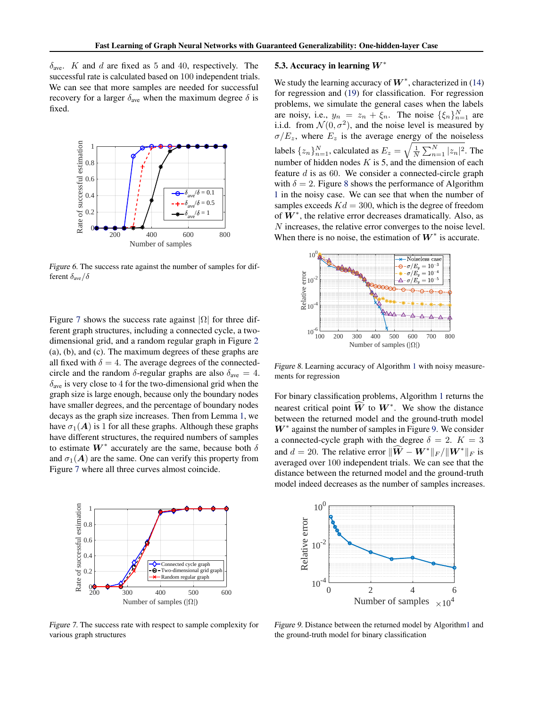$\delta_{\text{ave}}$ . K and d are fixed as 5 and 40, respectively. The successful rate is calculated based on 100 independent trials. We can see that more samples are needed for successful recovery for a larger  $\delta_{ave}$  when the maximum degree  $\delta$  is fixed.



Figure 6. The success rate against the number of samples for different  $\delta_{\text{ave}}/\delta$ 

Figure 7 shows the success rate against  $|\Omega|$  for three different graph structures, including a connected cycle, a twodimensional grid, and a random regular graph in Figure 2 (a), (b), and (c). The maximum degrees of these graphs are all fixed with  $\delta = 4$ . The average degrees of the connectedcircle and the random  $\delta$ -regular graphs are also  $\delta_{\text{ave}} = 4$ .  $\delta_{\text{ave}}$  is very close to 4 for the two-dimensional grid when the graph size is large enough, because only the boundary nodes have smaller degrees, and the percentage of boundary nodes decays as the graph size increases. Then from Lemma 1, we have  $\sigma_1(A)$  is 1 for all these graphs. Although these graphs have different structures, the required numbers of samples to estimate  $W^*$  accurately are the same, because both  $\delta$ and  $\sigma_1(A)$  are the same. One can verify this property from Figure 7 where all three curves almost coincide.



Figure 7. The success rate with respect to sample complexity for various graph structures

#### 5.3. Accuracy in learning  $W^*$

We study the learning accuracy of  $W^*$ , characterized in (14) for regression and (19) for classification. For regression problems, we simulate the general cases when the labels are noisy, i.e.,  $y_n = z_n + \xi_n$ . The noise  $\{\xi_n\}_{n=1}^N$  are i.i.d. from  $\mathcal{N}(0, \sigma^2)$ , and the noise level is measured by  $\sigma/E_z$ , where  $E_z$  is the average energy of the noiseless labels  $\{z_n\}_{n=1}^N$ , calculated as  $E_z = \sqrt{\frac{1}{N} \sum_{n=1}^N |z_n|^2}$ . The number of hidden nodes  $K$  is 5, and the dimension of each feature  $d$  is as 60. We consider a connected-circle graph with  $\delta = 2$ . Figure 8 shows the performance of Algorithm 1 in the noisy case. We can see that when the number of samples exceeds  $Kd = 300$ , which is the degree of freedom of  $W^*$ , the relative error decreases dramatically. Also, as N increases, the relative error converges to the noise level. When there is no noise, the estimation of  $W^*$  is accurate.



Figure 8. Learning accuracy of Algorithm 1 with noisy measurements for regression

For binary classification problems, Algorithm 1 returns the nearest critical point  $\widehat{W}$  to  $W^*$ . We show the distance between the returned model and the ground-truth model  $W^*$  against the number of samples in Figure 9. We consider a connected-cycle graph with the degree  $\delta = 2$ .  $K = 3$ and  $d = 20$ . The relative error  $\|\widehat{W} - W^*\|_F / \|W^*\|_F$  is averaged over 100 independent trials. We can see that the distance between the returned model and the ground-truth model indeed decreases as the number of samples increases.



Figure 9. Distance between the returned model by Algorithm1 and the ground-truth model for binary classification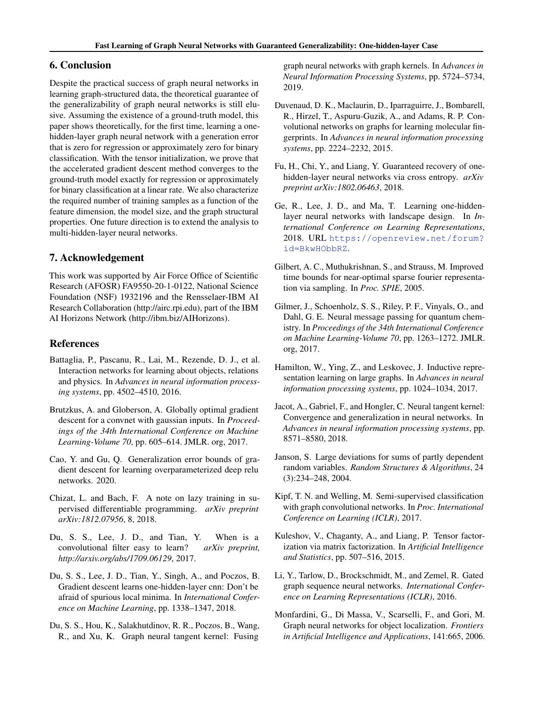### 6. Conclusion

Despite the practical success of graph neural networks in learning graph-structured data, the theoretical guarantee of the generalizability of graph neural networks is still elusive. Assuming the existence of a ground-truth model, this paper shows theoretically, for the first time, learning a onehidden-layer graph neural network with a generation error that is zero for regression or approximately zero for binary classification. With the tensor initialization, we prove that the accelerated gradient descent method converges to the ground-truth model exactly for regression or approximately for binary classification at a linear rate. We also characterize the required number of training samples as a function of the feature dimension, the model size, and the graph structural properties. One future direction is to extend the analysis to multi-hidden-layer neural networks.

### 7. Acknowledgement

This work was supported by Air Force Office of Scientific Research (AFOSR) FA9550-20-1-0122, National Science Foundation (NSF) 1932196 and the Rensselaer-IBM AI Research Collaboration (http://airc.rpi.edu), part of the IBM AI Horizons Network (http://ibm.biz/AIHorizons).

#### References

- Battaglia, P., Pascanu, R., Lai, M., Rezende, D. J., et al. Interaction networks for learning about objects, relations and physics. In *Advances in neural information processing systems*, pp. 4502–4510, 2016.
- Brutzkus, A. and Globerson, A. Globally optimal gradient descent for a convnet with gaussian inputs. In *Proceedings of the 34th International Conference on Machine Learning-Volume 70*, pp. 605–614. JMLR. org, 2017.
- Cao, Y. and Gu, Q. Generalization error bounds of gradient descent for learning overparameterized deep relu networks. 2020.
- Chizat, L. and Bach, F. A note on lazy training in supervised differentiable programming. *arXiv preprint arXiv:1812.07956*, 8, 2018.
- Du, S. S., Lee, J. D., and Tian, Y. When is a convolutional filter easy to learn? *arXiv preprint, http://arxiv.org/abs/1709.06129*, 2017.
- Du, S. S., Lee, J. D., Tian, Y., Singh, A., and Poczos, B. Gradient descent learns one-hidden-layer cnn: Don't be afraid of spurious local minima. In *International Conference on Machine Learning*, pp. 1338–1347, 2018.
- Du, S. S., Hou, K., Salakhutdinov, R. R., Poczos, B., Wang, R., and Xu, K. Graph neural tangent kernel: Fusing

graph neural networks with graph kernels. In *Advances in Neural Information Processing Systems*, pp. 5724–5734, 2019.

- Duvenaud, D. K., Maclaurin, D., Iparraguirre, J., Bombarell, R., Hirzel, T., Aspuru-Guzik, A., and Adams, R. P. Convolutional networks on graphs for learning molecular fingerprints. In *Advances in neural information processing systems*, pp. 2224–2232, 2015.
- Fu, H., Chi, Y., and Liang, Y. Guaranteed recovery of onehidden-layer neural networks via cross entropy. *arXiv preprint arXiv:1802.06463*, 2018.
- Ge, R., Lee, J. D., and Ma, T. Learning one-hiddenlayer neural networks with landscape design. In *International Conference on Learning Representations*, 2018. URL [https://openreview.net/forum?](https://openreview.net/forum?id=BkwHObbRZ) [id=BkwHObbRZ](https://openreview.net/forum?id=BkwHObbRZ).
- Gilbert, A. C., Muthukrishnan, S., and Strauss, M. Improved time bounds for near-optimal sparse fourier representation via sampling. In *Proc. SPIE*, 2005.
- Gilmer, J., Schoenholz, S. S., Riley, P. F., Vinyals, O., and Dahl, G. E. Neural message passing for quantum chemistry. In *Proceedings of the 34th International Conference on Machine Learning-Volume 70*, pp. 1263–1272. JMLR. org, 2017.
- Hamilton, W., Ying, Z., and Leskovec, J. Inductive representation learning on large graphs. In *Advances in neural information processing systems*, pp. 1024–1034, 2017.
- Jacot, A., Gabriel, F., and Hongler, C. Neural tangent kernel: Convergence and generalization in neural networks. In *Advances in neural information processing systems*, pp. 8571–8580, 2018.
- Janson, S. Large deviations for sums of partly dependent random variables. *Random Structures & Algorithms*, 24 (3):234–248, 2004.
- Kipf, T. N. and Welling, M. Semi-supervised classification with graph convolutional networks. In *Proc. International Conference on Learning (ICLR)*, 2017.
- Kuleshov, V., Chaganty, A., and Liang, P. Tensor factorization via matrix factorization. In *Artificial Intelligence and Statistics*, pp. 507–516, 2015.
- Li, Y., Tarlow, D., Brockschmidt, M., and Zemel, R. Gated graph sequence neural networks. *International Conference on Learning Representations (ICLR)*, 2016.
- Monfardini, G., Di Massa, V., Scarselli, F., and Gori, M. Graph neural networks for object localization. *Frontiers in Artificial Intelligence and Applications*, 141:665, 2006.